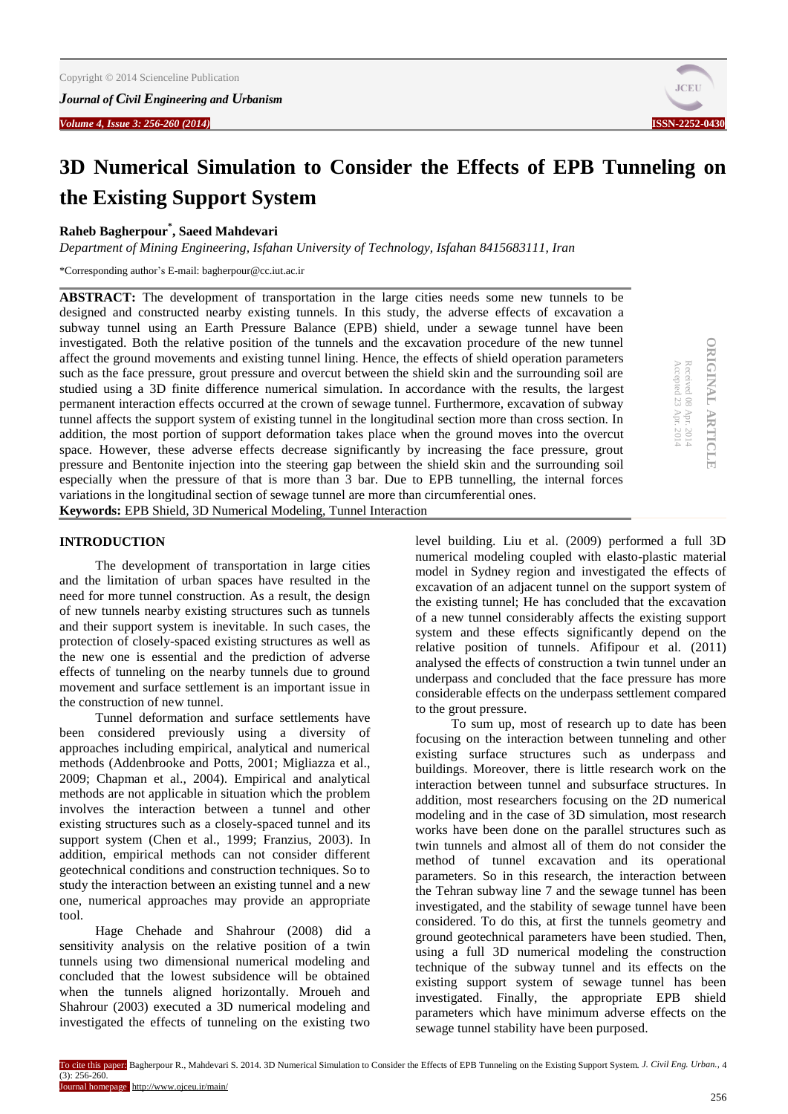*Volume 4, Issue* **3: 256-260 (2014) ISSN-2252-0** 



# **3D Numerical Simulation to Consider the Effects of EPB Tunneling on the Existing Support System**

# **Raheb Bagherpour\* , Saeed Mahdevari**

*Department of Mining Engineering, Isfahan University of Technology, Isfahan 8415683111, Iran*

\*Corresponding author's E-mail: bagherpour@cc.iut.ac.ir

**ABSTRACT:** The development of transportation in the large cities needs some new tunnels to be designed and constructed nearby existing tunnels. In this study, the adverse effects of excavation a subway tunnel using an Earth Pressure Balance (EPB) shield, under a sewage tunnel have been investigated. Both the relative position of the tunnels and the excavation procedure of the new tunnel affect the ground movements and existing tunnel lining. Hence, the effects of shield operation parameters such as the face pressure, grout pressure and overcut between the shield skin and the surrounding soil are studied using a 3D finite difference numerical simulation. In accordance with the results, the largest permanent interaction effects occurred at the crown of sewage tunnel. Furthermore, excavation of subway tunnel affects the support system of existing tunnel in the longitudinal section more than cross section. In addition, the most portion of support deformation takes place when the ground moves into the overcut space. However, these adverse effects decrease significantly by increasing the face pressure, grout pressure and Bentonite injection into the steering gap between the shield skin and the surrounding soil especially when the pressure of that is more than 3 bar. Due to EPB tunnelling, the internal forces variations in the longitudinal section of sewage tunnel are more than circumferential ones. **Keywords:** EPB Shield, 3D Numerical Modeling, Tunnel Interaction

```
ORIGINAL ARTICLE
                                              ORIGINAL ARTICLE
Accepted 23 Received 08 Apr. 2014
Apr. 2014
```
# **INTRODUCTION**

The development of transportation in large cities and the limitation of urban spaces have resulted in the need for more tunnel construction. As a result, the design of new tunnels nearby existing structures such as tunnels and their support system is inevitable. In such cases, the protection of closely-spaced existing structures as well as the new one is essential and the prediction of adverse effects of tunneling on the nearby tunnels due to ground movement and surface settlement is an important issue in the construction of new tunnel.

Tunnel deformation and surface settlements have been considered previously using a diversity of approaches including empirical, analytical and numerical methods (Addenbrooke and Potts, 2001; Migliazza et al., 2009; Chapman et al., 2004). Empirical and analytical methods are not applicable in situation which the problem involves the interaction between a tunnel and other existing structures such as a closely-spaced tunnel and its support system (Chen et al., 1999; Franzius, 2003). In addition, empirical methods can not consider different geotechnical conditions and construction techniques. So to study the interaction between an existing tunnel and a new one, numerical approaches may provide an appropriate tool.

Hage Chehade and Shahrour (2008) did a sensitivity analysis on the relative position of a twin tunnels using two dimensional numerical modeling and concluded that the lowest subsidence will be obtained when the tunnels aligned horizontally. Mroueh and Shahrour (2003) executed a 3D numerical modeling and investigated the effects of tunneling on the existing two

level building. Liu et al. (2009) performed a full 3D numerical modeling coupled with elasto-plastic material model in Sydney region and investigated the effects of excavation of an adjacent tunnel on the support system of the existing tunnel; He has concluded that the excavation of a new tunnel considerably affects the existing support system and these effects significantly depend on the relative position of tunnels. Afifipour et al. (2011) analysed the effects of construction a twin tunnel under an underpass and concluded that the face pressure has more considerable effects on the underpass settlement compared to the grout pressure.

To sum up, most of research up to date has been focusing on the interaction between tunneling and other existing surface structures such as underpass and buildings. Moreover, there is little research work on the interaction between tunnel and subsurface structures. In addition, most researchers focusing on the 2D numerical modeling and in the case of 3D simulation, most research works have been done on the parallel structures such as twin tunnels and almost all of them do not consider the method of tunnel excavation and its operational parameters. So in this research, the interaction between the Tehran subway line 7 and the sewage tunnel has been investigated, and the stability of sewage tunnel have been considered. To do this, at first the tunnels geometry and ground geotechnical parameters have been studied. Then, using a full 3D numerical modeling the construction technique of the subway tunnel and its effects on the existing support system of sewage tunnel has been investigated. Finally, the appropriate EPB shield parameters which have minimum adverse effects on the sewage tunnel stability have been purposed.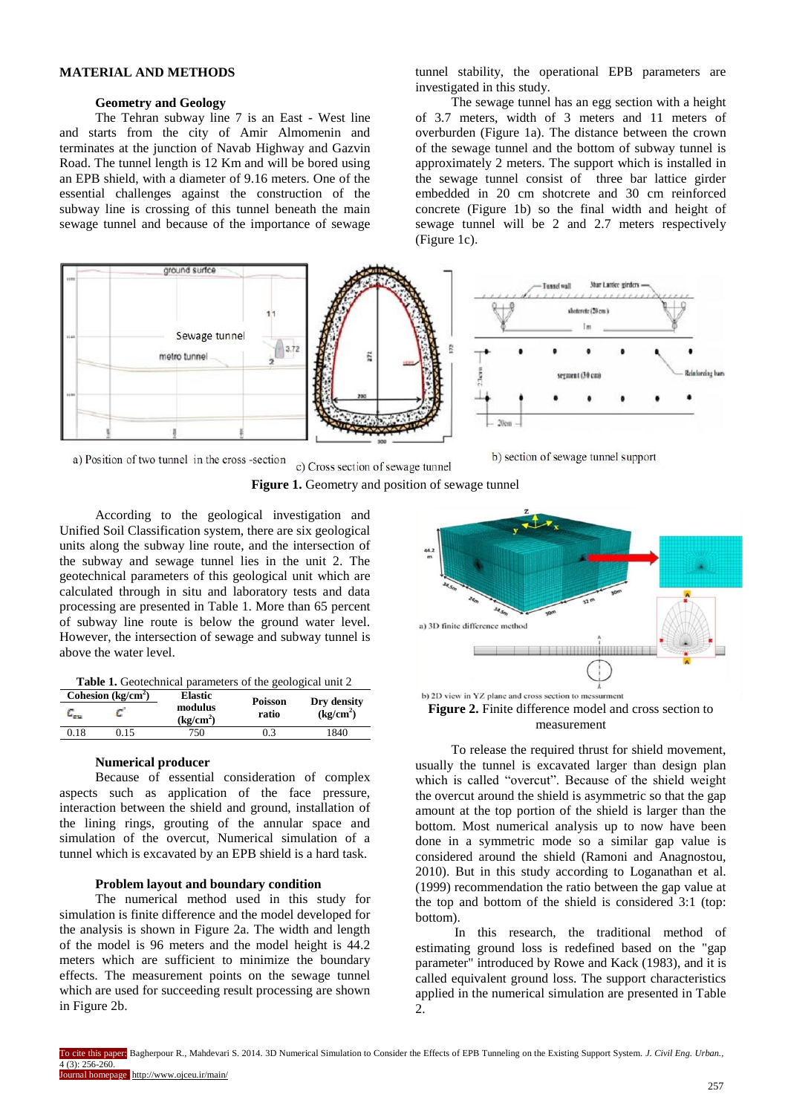## **MATERIAL AND METHODS**

#### **Geometry and Geology**

The Tehran subway line 7 is an East - West line and starts from the city of Amir Almomenin and terminates at the junction of Navab Highway and Gazvin Road. The tunnel length is 12 Km and will be bored using an EPB shield, with a diameter of 9.16 meters. One of the essential challenges against the construction of the subway line is crossing of this tunnel beneath the main sewage tunnel and because of the importance of sewage

tunnel stability, the operational EPB parameters are investigated in this study.

The sewage tunnel has an egg section with a height of 3.7 meters, width of 3 meters and 11 meters of overburden (Figure 1a). The distance between the crown of the sewage tunnel and the bottom of subway tunnel is approximately 2 meters. The support which is installed in the sewage tunnel consist of three bar lattice girder embedded in 20 cm shotcrete and 30 cm reinforced concrete (Figure 1b) so the final width and height of sewage tunnel will be 2 and 2.7 meters respectively (Figure 1c).



a) Position of two tunnel in the cross -section



**Figure 1.** Geometry and position of sewage tunnel

According to the geological investigation and Unified Soil Classification system, there are six geological units along the subway line route, and the intersection of the subway and sewage tunnel lies in the unit 2. The geotechnical parameters of this geological unit which are calculated through in situ and laboratory tests and data processing are presented in Table 1. More than 65 percent of subway line route is below the ground water level. However, the intersection of sewage and subway tunnel is above the water level.

| <b>Table 1.</b> Geotechnical parameters of the geological unit 2 |                     |                                                    |                         |                                      |  |  |  |  |
|------------------------------------------------------------------|---------------------|----------------------------------------------------|-------------------------|--------------------------------------|--|--|--|--|
| <b>Page</b>                                                      | Cohesion $(kg/cm2)$ | <b>Elastic</b><br>modulus<br>(kg/cm <sup>2</sup> ) | <b>Poisson</b><br>ratio | Dry density<br>(kg/cm <sup>2</sup> ) |  |  |  |  |

0.18 0.15 750 0.3 1840

#### **Numerical producer**

Because of essential consideration of complex aspects such as application of the face pressure, interaction between the shield and ground, installation of the lining rings, grouting of the annular space and simulation of the overcut, Numerical simulation of a tunnel which is excavated by an EPB shield is a hard task.

## **Problem layout and boundary condition**

The numerical method used in this study for simulation is finite difference and the model developed for the analysis is shown in Figure 2a. The width and length of the model is 96 meters and the model height is 44.2 meters which are sufficient to minimize the boundary effects. The measurement points on the sewage tunnel which are used for succeeding result processing are shown in Figure 2b.



**Figure 2.** Finite difference model and cross section to measurement

To release the required thrust for shield movement, usually the tunnel is excavated larger than design plan which is called "overcut". Because of the shield weight the overcut around the shield is asymmetric so that the gap amount at the top portion of the shield is larger than the bottom. Most numerical analysis up to now have been done in a symmetric mode so a similar gap value is considered around the shield (Ramoni and Anagnostou, 2010). But in this study according to Loganathan et al. (1999) recommendation the ratio between the gap value at the top and bottom of the shield is considered 3:1 (top: bottom).

In this research, the traditional method of estimating ground loss is redefined based on the "gap parameter" introduced by Rowe and Kack (1983), and it is called equivalent ground loss. The support characteristics applied in the numerical simulation are presented in Table  $\mathcal{D}$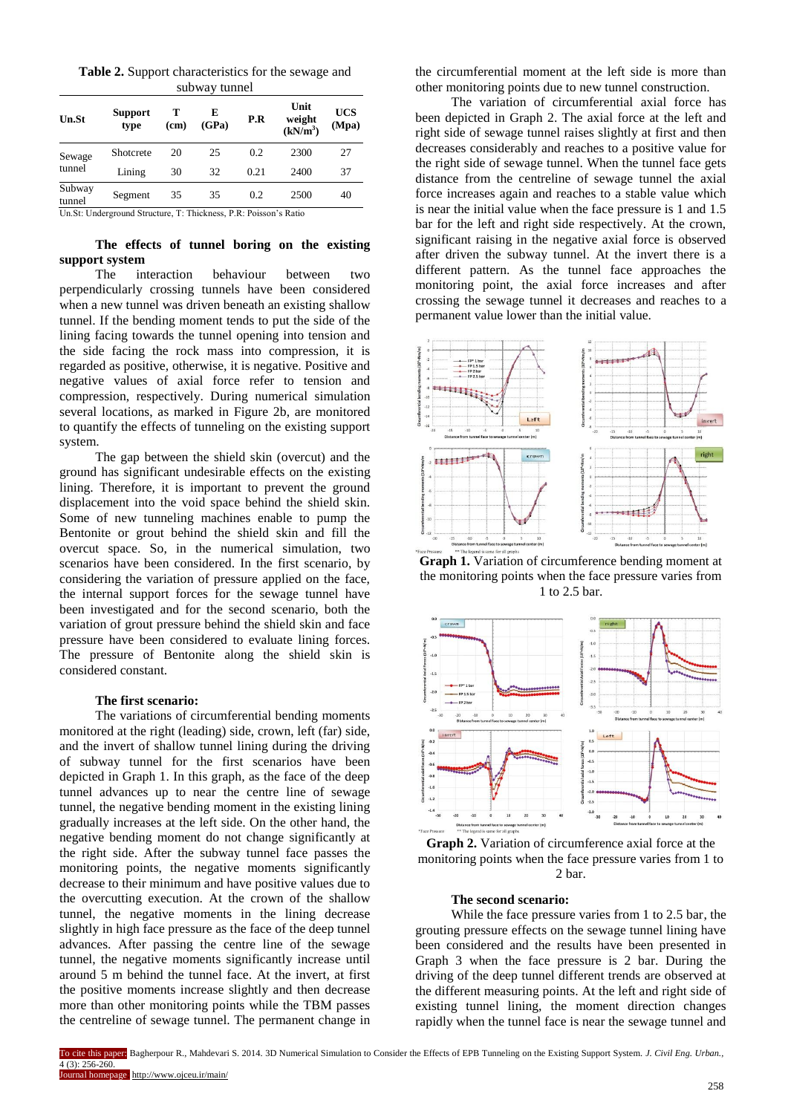**Table 2.** Support characteristics for the sewage and subway tunnel

| <b>Un.St</b>     | <b>Support</b><br>type | (c <sub>m</sub> ) | E<br>(GPa) | P.R  | Unit<br>weight<br>(kN/m <sup>3</sup> ) | <b>UCS</b><br>(Mpa) |
|------------------|------------------------|-------------------|------------|------|----------------------------------------|---------------------|
| Sewage<br>tunnel | Shotcrete              | 20                | 25         | 0.2  | 2300                                   | 27                  |
|                  | Lining                 | 30                | 32         | 0.21 | 2400                                   | 37                  |
| Subway<br>tunnel | Segment                | 35                | 35         | 0.2  | 2500                                   | 40                  |

Un.St: Underground Structure, T: Thickness, P.R: Poisson's Ratio

## **The effects of tunnel boring on the existing support system**

The interaction behaviour between two perpendicularly crossing tunnels have been considered when a new tunnel was driven beneath an existing shallow tunnel. If the bending moment tends to put the side of the lining facing towards the tunnel opening into tension and the side facing the rock mass into compression, it is regarded as positive, otherwise, it is negative. Positive and negative values of axial force refer to tension and compression, respectively. During numerical simulation several locations, as marked in Figure 2b, are monitored to quantify the effects of tunneling on the existing support system.

The gap between the shield skin (overcut) and the ground has significant undesirable effects on the existing lining. Therefore, it is important to prevent the ground displacement into the void space behind the shield skin. Some of new tunneling machines enable to pump the Bentonite or grout behind the shield skin and fill the overcut space. So, in the numerical simulation, two scenarios have been considered. In the first scenario, by considering the variation of pressure applied on the face, the internal support forces for the sewage tunnel have been investigated and for the second scenario, both the variation of grout pressure behind the shield skin and face pressure have been considered to evaluate lining forces. The pressure of Bentonite along the shield skin is considered constant.

#### **The first scenario:**

The variations of circumferential bending moments monitored at the right (leading) side, crown, left (far) side, and the invert of shallow tunnel lining during the driving of subway tunnel for the first scenarios have been depicted in Graph 1. In this graph, as the face of the deep tunnel advances up to near the centre line of sewage tunnel, the negative bending moment in the existing lining gradually increases at the left side. On the other hand, the negative bending moment do not change significantly at the right side. After the subway tunnel face passes the monitoring points, the negative moments significantly decrease to their minimum and have positive values due to the overcutting execution. At the crown of the shallow tunnel, the negative moments in the lining decrease slightly in high face pressure as the face of the deep tunnel advances. After passing the centre line of the sewage tunnel, the negative moments significantly increase until around 5 m behind the tunnel face. At the invert, at first the positive moments increase slightly and then decrease more than other monitoring points while the TBM passes the centreline of sewage tunnel. The permanent change in

the circumferential moment at the left side is more than other monitoring points due to new tunnel construction.

The variation of circumferential axial force has been depicted in Graph 2. The axial force at the left and right side of sewage tunnel raises slightly at first and then decreases considerably and reaches to a positive value for the right side of sewage tunnel. When the tunnel face gets distance from the centreline of sewage tunnel the axial force increases again and reaches to a stable value which is near the initial value when the face pressure is 1 and 1.5 bar for the left and right side respectively. At the crown, significant raising in the negative axial force is observed after driven the subway tunnel. At the invert there is a different pattern. As the tunnel face approaches the monitoring point, the axial force increases and after crossing the sewage tunnel it decreases and reaches to a permanent value lower than the initial value.



Graph 1. Variation of circumference bending moment at the monitoring points when the face pressure varies from 1 to 2.5 bar.



**Graph 2.** Variation of circumference axial force at the monitoring points when the face pressure varies from 1 to 2 bar.

# **The second scenario:**

While the face pressure varies from 1 to 2.5 bar, the grouting pressure effects on the sewage tunnel lining have been considered and the results have been presented in Graph 3 when the face pressure is 2 bar. During the driving of the deep tunnel different trends are observed at the different measuring points. At the left and right side of existing tunnel lining, the moment direction changes rapidly when the tunnel face is near the sewage tunnel and

To cite this paper: Bagherpour R., Mahdevari S. 2014. 3D Numerical Simulation to Consider the Effects of EPB Tunneling on the Existing Support System. *J. Civil Eng. Urban.,*  $4(3) \cdot 256 - 260$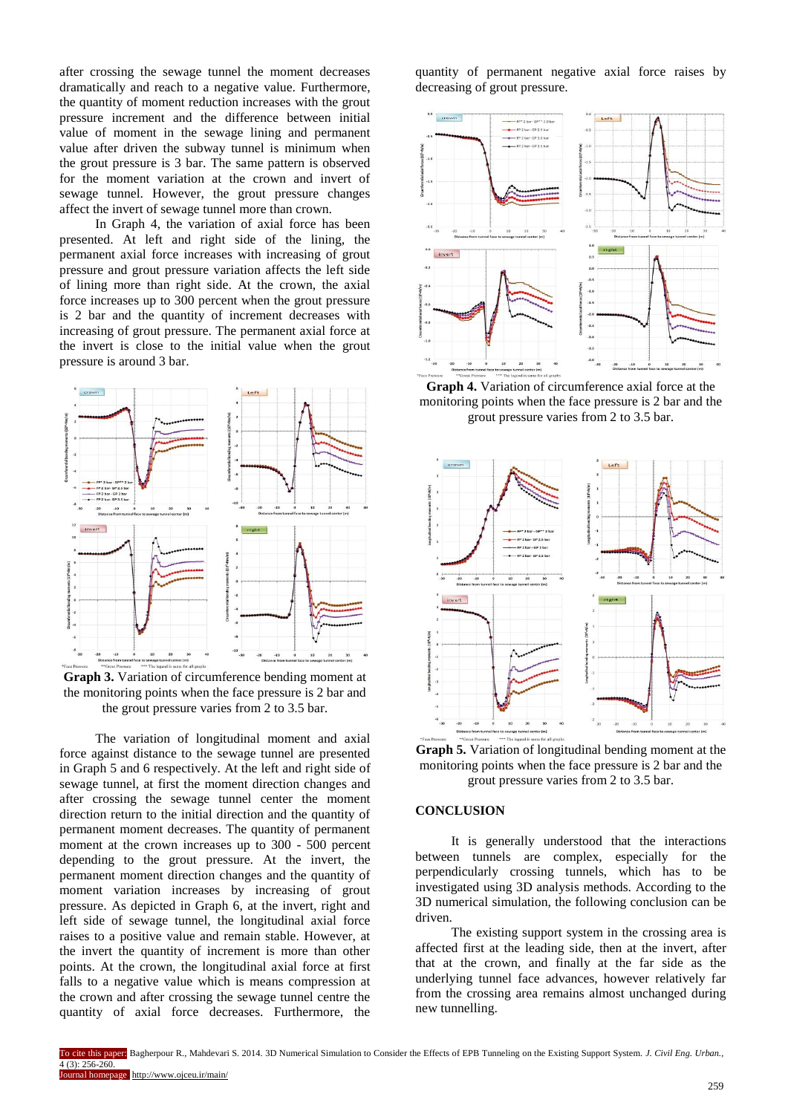after crossing the sewage tunnel the moment decreases dramatically and reach to a negative value. Furthermore, the quantity of moment reduction increases with the grout pressure increment and the difference between initial value of moment in the sewage lining and permanent value after driven the subway tunnel is minimum when the grout pressure is 3 bar. The same pattern is observed for the moment variation at the crown and invert of sewage tunnel. However, the grout pressure changes affect the invert of sewage tunnel more than crown.

In Graph 4, the variation of axial force has been presented. At left and right side of the lining, the permanent axial force increases with increasing of grout pressure and grout pressure variation affects the left side of lining more than right side. At the crown, the axial force increases up to 300 percent when the grout pressure is 2 bar and the quantity of increment decreases with increasing of grout pressure. The permanent axial force at the invert is close to the initial value when the grout pressure is around 3 bar.



**Graph 3.** Variation of circumference bending moment at the monitoring points when the face pressure is 2 bar and the grout pressure varies from 2 to 3.5 bar.

The variation of longitudinal moment and axial force against distance to the sewage tunnel are presented in Graph 5 and 6 respectively. At the left and right side of sewage tunnel, at first the moment direction changes and after crossing the sewage tunnel center the moment direction return to the initial direction and the quantity of permanent moment decreases. The quantity of permanent moment at the crown increases up to 300 - 500 percent depending to the grout pressure. At the invert, the permanent moment direction changes and the quantity of moment variation increases by increasing of grout pressure. As depicted in Graph 6, at the invert, right and left side of sewage tunnel, the longitudinal axial force raises to a positive value and remain stable. However, at the invert the quantity of increment is more than other points. At the crown, the longitudinal axial force at first falls to a negative value which is means compression at the crown and after crossing the sewage tunnel centre the quantity of axial force decreases. Furthermore, the

quantity of permanent negative axial force raises by decreasing of grout pressure.



**Graph 4.** Variation of circumference axial force at the monitoring points when the face pressure is 2 bar and the grout pressure varies from 2 to 3.5 bar.



**Graph 5.** Variation of longitudinal bending moment at the monitoring points when the face pressure is 2 bar and the grout pressure varies from 2 to 3.5 bar.

## **CONCLUSION**

It is generally understood that the interactions between tunnels are complex, especially for the perpendicularly crossing tunnels, which has to be investigated using 3D analysis methods. According to the 3D numerical simulation, the following conclusion can be driven.

The existing support system in the crossing area is affected first at the leading side, then at the invert, after that at the crown, and finally at the far side as the underlying tunnel face advances, however relatively far from the crossing area remains almost unchanged during new tunnelling.

To cite this paper: Bagherpour R., Mahdevari S. 2014. 3D Numerical Simulation to Consider the Effects of EPB Tunneling on the Existing Support System. *J. Civil Eng. Urban.,*  $4(3) \cdot 256 - 260$